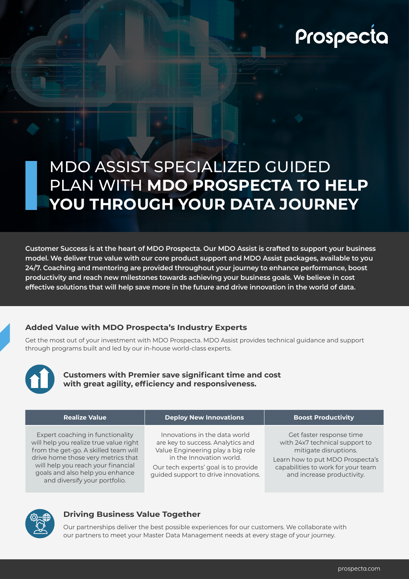# Prospecta

## MDO ASSIST SPECIALIZED GUIDED PLAN WITH **MDO PROSPECTA TO HELP YOU THROUGH YOUR DATA JOURNEY**

**Customer Success is at the heart of MDO Prospecta. Our MDO Assist is crafted to support your business model. We deliver true value with our core product support and MDO Assist packages, available to you 24/7. Coaching and mentoring are provided throughout your journey to enhance performance, boost productivity and reach new milestones towards achieving your business goals. We believe in cost effective solutions that will help save more in the future and drive innovation in the world of data.**

#### **Added Value with MDO Prospecta's Industry Experts**

Get the most out of your investment with MDO Prospecta. MDO Assist provides technical guidance and support through programs built and led by our in-house world-class experts.



**Customers with Premier save significant time and cost with great agility, efficiency and responsiveness.**

| <b>Realize Value</b>                                                                                                                                                                                                                                               | <b>Deploy New Innovations</b>                                                                                                                                                                                       | <b>Boost Productivity</b>                                                                                                                                                                   |
|--------------------------------------------------------------------------------------------------------------------------------------------------------------------------------------------------------------------------------------------------------------------|---------------------------------------------------------------------------------------------------------------------------------------------------------------------------------------------------------------------|---------------------------------------------------------------------------------------------------------------------------------------------------------------------------------------------|
| Expert coaching in functionality<br>will help you realize true value right<br>from the get-go. A skilled team will<br>drive home those very metrics that<br>will help you reach your financial<br>goals and also help you enhance<br>and diversify your portfolio. | Innovations in the data world<br>are key to success. Analytics and<br>Value Engineering play a big role<br>in the Innovation world.<br>Our tech experts' goal is to provide<br>guided support to drive innovations. | Get faster response time<br>with 24x7 technical support to<br>mitigate disruptions.<br>Learn how to put MDO Prospecta's<br>capabilities to work for your team<br>and increase productivity. |



#### **Driving Business Value Together**

Our partnerships deliver the best possible experiences for our customers. We collaborate with our partners to meet your Master Data Management needs at every stage of your journey.